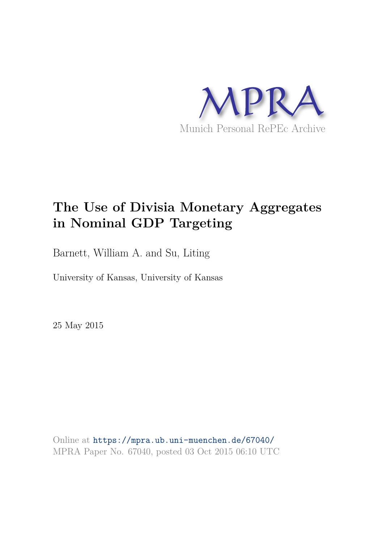

# **The Use of Divisia Monetary Aggregates in Nominal GDP Targeting**

Barnett, William A. and Su, Liting

University of Kansas, University of Kansas

25 May 2015

Online at https://mpra.ub.uni-muenchen.de/67040/ MPRA Paper No. 67040, posted 03 Oct 2015 06:10 UTC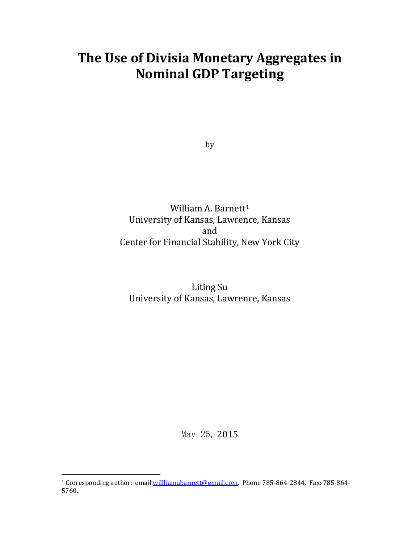# **The Use of Divisia Monetary Aggregates in Nominal GDP Targeting**

by

William A. Barnett<sup>1</sup> University of Kansas, Lawre[nc](#page-1-0)e, Kansas and Center for Financial Stability, New York City

Liting Su University of Kansas, Lawrence, Kansas

May 25, 2015

<u>.</u>

<span id="page-1-0"></span><sup>&</sup>lt;sup>1</sup> Corresponding author: email <u>willliamabarnett@gmail.com</u>. Phone 785-864-2844. Fax: 785-864-5760.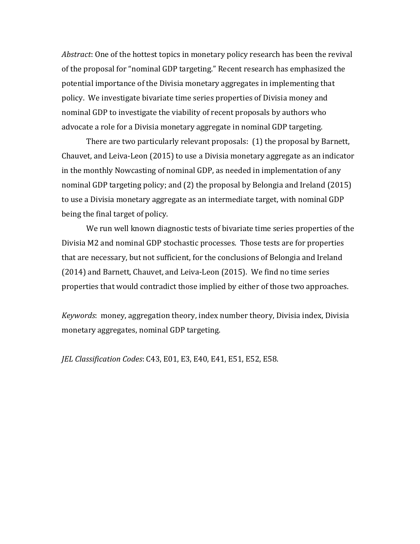*Abstract*: One of the hottest topics in monetary policy research has been the revival of the proposal for "nominal GDP targeting." Recent research has emphasized the potential importance of the Divisia monetary aggregates in implementing that policy. We investigate bivariate time series properties of Divisia money and nominal GDP to investigate the viability of recent proposals by authors who advocate a role for a Divisia monetary aggregate in nominal GDP targeting.

There are two particularly relevant proposals: (1) the proposal by Barnett, Chauvet, and Leiva-Leon (2015) to use a Divisia monetary aggregate as an indicator in the monthly Nowcasting of nominal GDP, as needed in implementation of any nominal GDP targeting policy; and (2) the proposal by Belongia and Ireland (2015) to use a Divisia monetary aggregate as an intermediate target, with nominal GDP being the final target of policy.

We run well known diagnostic tests of bivariate time series properties of the Divisia M2 and nominal GDP stochastic processes. Those tests are for properties that are necessary, but not sufficient, for the conclusions of Belongia and Ireland (2014) and Barnett, Chauvet, and Leiva-Leon (2015). We find no time series properties that would contradict those implied by either of those two approaches.

*Keywords*: money, aggregation theory, index number theory, Divisia index, Divisia monetary aggregates, nominal GDP targeting.

*JEL Classification Codes*: C43, E01, E3, E40, E41, E51, E52, E58.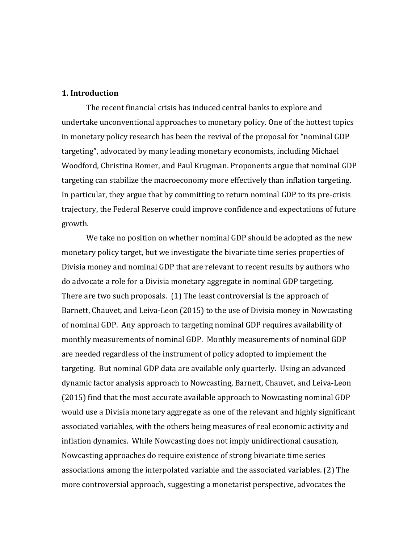#### **1. Introduction**

The recent financial crisis has induced central banks to explore and undertake unconventional approaches to monetary policy. One of the hottest topics in monetary policy research has been the revival of the proposal for "nominal GDP targeting", advocated by many leading monetary economists, including Michael Woodford, Christina Romer, and Paul Krugman. Proponents argue that nominal GDP targeting can stabilize the macroeconomy more effectively than inflation targeting. In particular, they argue that by committing to return nominal GDP to its pre-crisis trajectory, the Federal Reserve could improve confidence and expectations of future growth.

We take no position on whether nominal GDP should be adopted as the new monetary policy target, but we investigate the bivariate time series properties of Divisia money and nominal GDP that are relevant to recent results by authors who do advocate a role for a Divisia monetary aggregate in nominal GDP targeting. There are two such proposals. (1) The least controversial is the approach of Barnett, Chauvet, and Leiva-Leon (2015) to the use of Divisia money in Nowcasting of nominal GDP. Any approach to targeting nominal GDP requires availability of monthly measurements of nominal GDP. Monthly measurements of nominal GDP are needed regardless of the instrument of policy adopted to implement the targeting. But nominal GDP data are available only quarterly. Using an advanced dynamic factor analysis approach to Nowcasting, Barnett, Chauvet, and Leiva-Leon (2015) find that the most accurate available approach to Nowcasting nominal GDP would use a Divisia monetary aggregate as one of the relevant and highly significant associated variables, with the others being measures of real economic activity and inflation dynamics. While Nowcasting does not imply unidirectional causation, Nowcasting approaches do require existence of strong bivariate time series associations among the interpolated variable and the associated variables. (2) The more controversial approach, suggesting a monetarist perspective, advocates the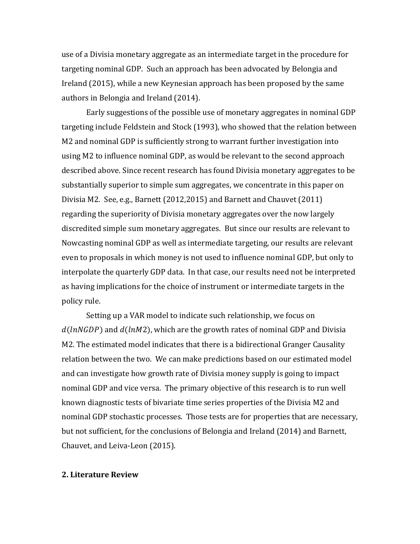use of a Divisia monetary aggregate as an intermediate target in the procedure for targeting nominal GDP. Such an approach has been advocated by Belongia and Ireland (2015), while a new Keynesian approach has been proposed by the same authors in Belongia and Ireland (2014).

Early suggestions of the possible use of monetary aggregates in nominal GDP targeting include Feldstein and Stock (1993), who showed that the relation between M2 and nominal GDP is sufficiently strong to warrant further investigation into using M2 to influence nominal GDP, as would be relevant to the second approach described above. Since recent research has found Divisia monetary aggregates to be substantially superior to simple sum aggregates, we concentrate in this paper on Divisia M2. See, e.g., Barnett (2012,2015) and Barnett and Chauvet (2011) regarding the superiority of Divisia monetary aggregates over the now largely discredited simple sum monetary aggregates. But since our results are relevant to Nowcasting nominal GDP as well as intermediate targeting, our results are relevant even to proposals in which money is not used to influence nominal GDP, but only to interpolate the quarterly GDP data. In that case, our results need not be interpreted as having implications for the choice of instrument or intermediate targets in the policy rule.

Setting up a VAR model to indicate such relationship, we focus on  $d(lnNGDP)$  and  $d(lnM2)$ , which are the growth rates of nominal GDP and Divisia M2. The estimated model indicates that there is a bidirectional Granger Causality relation between the two. We can make predictions based on our estimated model and can investigate how growth rate of Divisia money supply is going to impact nominal GDP and vice versa. The primary objective of this research is to run well known diagnostic tests of bivariate time series properties of the Divisia M2 and nominal GDP stochastic processes. Those tests are for properties that are necessary, but not sufficient, for the conclusions of Belongia and Ireland (2014) and Barnett, Chauvet, and Leiva-Leon (2015).

## **2. Literature Review**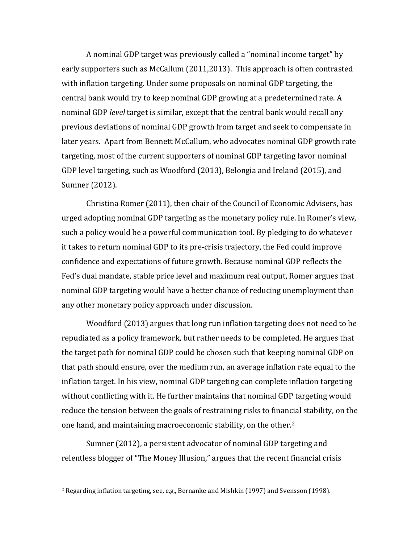A nominal GDP target was previously called a "nominal income target" by early supporters such as McCallum (2011,2013). This approach is often contrasted with inflation targeting. Under some proposals on nominal GDP targeting, the central bank would try to keep nominal GDP growing at a predetermined rate. A nominal GDP *level* target is similar, except that the central bank would recall any previous deviations of nominal GDP growth from target and seek to compensate in later years. Apart from Bennett McCallum, who advocates nominal GDP growth rate targeting, most of the current supporters of nominal GDP targeting favor nominal GDP level targeting, such as Woodford (2013), Belongia and Ireland (2015), and Sumner (2012).

Christina Romer (2011), then chair of the Council of Economic Advisers, has urged adopting nominal GDP targeting as the monetary policy rule. In Romer's view, such a policy would be a powerful communication tool. By pledging to do whatever it takes to return nominal GDP to its pre-crisis trajectory, the Fed could improve confidence and expectations of future growth. Because nominal GDP reflects the Fed's dual mandate, stable price level and maximum real output, Romer argues that nominal GDP targeting would have a better chance of reducing unemployment than any other monetary policy approach under discussion.

Woodford (2013) argues that long run inflation targeting does not need to be repudiated as a policy framework, but rather needs to be completed. He argues that the target path for nominal GDP could be chosen such that keeping nominal GDP on that path should ensure, over the medium run, an average inflation rate equal to the inflation target. In his view, nominal GDP targeting can complete inflation targeting without conflicting with it. He further maintains that nominal GDP targeting would reduce the tension between the goals of restraining risks to finan[ci](#page-5-0)al stability, on the one hand, and maintaining macroeconomic stability, on the other.<sup>2</sup>

Sumner (2012), a persistent advocator of nominal GDP targeting and relentless blogger of "The Money Illusion," argues that the recent financial crisis

-

<span id="page-5-0"></span><sup>&</sup>lt;sup>2</sup> Regarding inflation targeting, see, e.g., Bernanke and Mishkin (1997) and Svensson (1998).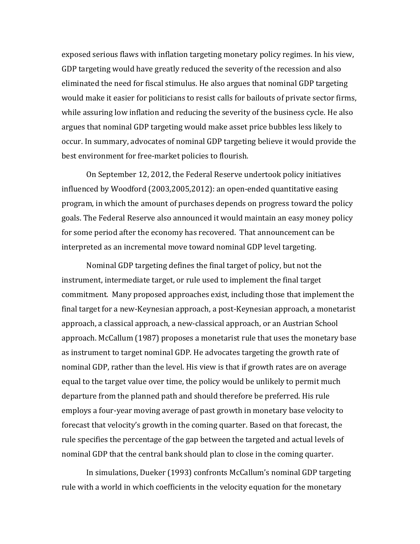exposed serious flaws with inflation targeting monetary policy regimes. In his view, GDP targeting would have greatly reduced the severity of the recession and also eliminated the need for fiscal stimulus. He also argues that nominal GDP targeting would make it easier for politicians to resist calls for bailouts of private sector firms, while assuring low inflation and reducing the severity of the business cycle. He also argues that nominal GDP targeting would make asset price bubbles less likely to occur. In summary, advocates of nominal GDP targeting believe it would provide the best environment for free-market policies to flourish.

On September 12, 2012, the Federal Reserve undertook policy initiatives influenced by Woodford (2003,2005,2012): an open-ended quantitative easing program, in which the amount of purchases depends on progress toward the policy goals. The Federal Reserve also announced it would maintain an easy money policy for some period after the economy has recovered. That announcement can be interpreted as an incremental move toward nominal GDP level targeting.

Nominal GDP targeting defines the final target of policy, but not the instrument, intermediate target, or rule used to implement the final target commitment. Many proposed approaches exist, including those that implement the final target for a new-Keynesian approach, a post-Keynesian approach, a monetarist approach, a classical approach, a new-classical approach, or an Austrian School approach. McCallum (1987) proposes a monetarist rule that uses the monetary base as instrument to target nominal GDP. He advocates targeting the growth rate of nominal GDP, rather than the level. His view is that if growth rates are on average equal to the target value over time, the policy would be unlikely to permit much departure from the planned path and should therefore be preferred. His rule employs a four-year moving average of past growth in monetary base velocity to forecast that velocity's growth in the coming quarter. Based on that forecast, the rule specifies the percentage of the gap between the targeted and actual levels of nominal GDP that the central bank should plan to close in the coming quarter.

In simulations, Dueker (1993) confronts McCallum's nominal GDP targeting rule with a world in which coefficients in the velocity equation for the monetary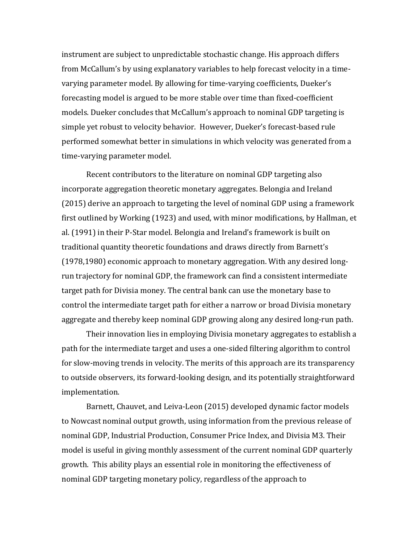instrument are subject to unpredictable stochastic change. His approach differs from McCallum's by using explanatory variables to help forecast velocity in a timevarying parameter model. By allowing for time-varying coefficients, Dueker's forecasting model is argued to be more stable over time than fixed-coefficient models. Dueker concludes that McCallum's approach to nominal GDP targeting is simple yet robust to velocity behavior. However, Dueker's forecast-based rule performed somewhat better in simulations in which velocity was generated from a time-varying parameter model.

Recent contributors to the literature on nominal GDP targeting also incorporate aggregation theoretic monetary aggregates. Belongia and Ireland (2015) derive an approach to targeting the level of nominal GDP using a framework first outlined by Working (1923) and used, with minor modifications, by Hallman, et al. (1991) in their P-Star model. Belongia and Ireland's framework is built on traditional quantity theoretic foundations and draws directly from Barnett's (1978,1980) economic approach to monetary aggregation. With any desired longrun trajectory for nominal GDP, the framework can find a consistent intermediate target path for Divisia money. The central bank can use the monetary base to control the intermediate target path for either a narrow or broad Divisia monetary aggregate and thereby keep nominal GDP growing along any desired long-run path.

Their innovation lies in employing Divisia monetary aggregates to establish a path for the intermediate target and uses a one-sided filtering algorithm to control for slow-moving trends in velocity. The merits of this approach are its transparency to outside observers, its forward-looking design, and its potentially straightforward implementation.

Barnett, Chauvet, and Leiva-Leon (2015) developed dynamic factor models to Nowcast nominal output growth, using information from the previous release of nominal GDP, Industrial Production, Consumer Price Index, and Divisia M3. Their model is useful in giving monthly assessment of the current nominal GDP quarterly growth. This ability plays an essential role in monitoring the effectiveness of nominal GDP targeting monetary policy, regardless of the approach to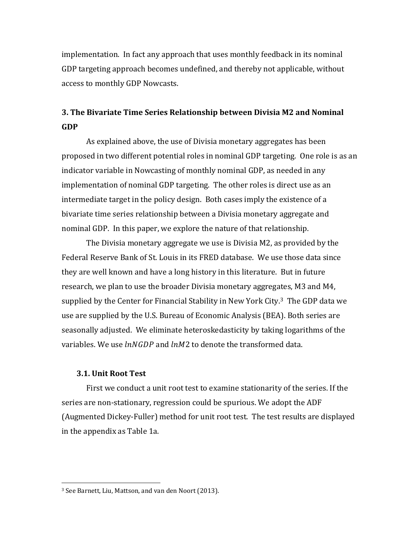implementation. In fact any approach that uses monthly feedback in its nominal GDP targeting approach becomes undefined, and thereby not applicable, without access to monthly GDP Nowcasts.

# **3. The Bivariate Time Series Relationship between Divisia M2 and Nominal GDP**

As explained above, the use of Divisia monetary aggregates has been proposed in two different potential roles in nominal GDP targeting. One role is as an indicator variable in Nowcasting of monthly nominal GDP, as needed in any implementation of nominal GDP targeting. The other roles is direct use as an intermediate target in the policy design. Both cases imply the existence of a bivariate time series relationship between a Divisia monetary aggregate and nominal GDP. In this paper, we explore the nature of that relationship.

The Divisia monetary aggregate we use is Divisia M2, as provided by the Federal Reserve Bank of St. Louis in its FRED database. We use those data since they are well known and have a long history in this literature. But in future research, we plan to use the broader Divisia monetary aggreg[ate](#page-8-0)s, M3 and M4, supplied by the Center for Financial Stability in New York City.<sup>3</sup> The GDP data we use are supplied by the U.S. Bureau of Economic Analysis (BEA). Both series are seasonally adjusted. We eliminate heteroskedasticity by taking logarithms of the variables. We use  $lnNGDP$  and  $lnM2$  to denote the transformed data.

## **3.1. Unit Root Test**

 $\overline{a}$ 

First we conduct a unit root test to examine stationarity of the series. If the series are non-stationary, regression could be spurious. We adopt the ADF (Augmented Dickey-Fuller) method for unit root test. The test results are displayed in the appendix as Table 1a.

<span id="page-8-0"></span><sup>3</sup> See Barnett, Liu, Mattson, and van den Noort (2013).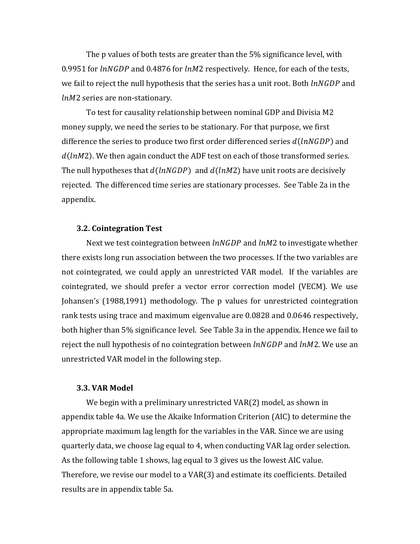The p values of both tests are greater than the 5% significance level, with 0.9951 for  $lnNGDP$  and 0.4876 for  $lnM2$  respectively. Hence, for each of the tests, we fail to reject the null hypothesis that the series has a unit root. Both  $lnNGDP$  and  $lnM2$  series are non-stationary.

To test for causality relationship between nominal GDP and Divisia M2 money supply, we need the series to be stationary. For that purpose, we first difference the series to produce two first order differenced series  $d(lnNGDP)$  and  $d(lnM2)$ . We then again conduct the ADF test on each of those transformed series. The null hypotheses that  $d(lnNGDP)$  and  $d(lnM2)$  have unit roots are decisively rejected. The differenced time series are stationary processes. See Table 2a in the appendix.

#### **3.2. Cointegration Test**

Next we test cointegration between  $ln\Gamma(ADP)$  and  $ln\Gamma(2)$  to investigate whether there exists long run association between the two processes. If the two variables are not cointegrated, we could apply an unrestricted VAR model. If the variables are cointegrated, we should prefer a vector error correction model (VECM). We use Johansen's (1988,1991) methodology. The p values for unrestricted cointegration rank tests using trace and maximum eigenvalue are 0.0828 and 0.0646 respectively, both higher than 5% significance level. See Table 3a in the appendix. Hence we fail to reject the null hypothesis of no cointegration between  $lnNGDP$  and  $ln M2$ . We use an unrestricted VAR model in the following step.

## **3.3. VAR Model**

We begin with a preliminary unrestricted VAR(2) model, as shown in appendix table 4a. We use the Akaike Information Criterion (AIC) to determine the appropriate maximum lag length for the variables in the VAR. Since we are using quarterly data, we choose lag equal to 4, when conducting VAR lag order selection. As the following table 1 shows, lag equal to 3 gives us the lowest AIC value. Therefore, we revise our model to a VAR(3) and estimate its coefficients. Detailed results are in appendix table 5a.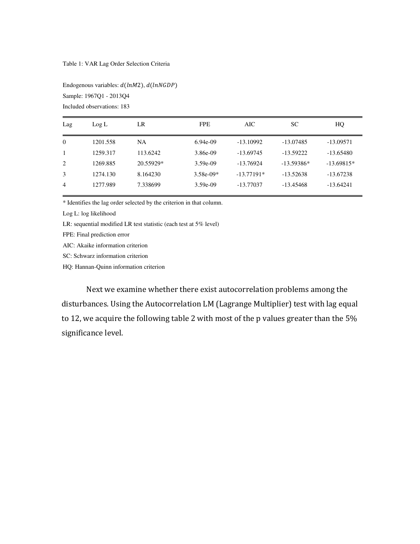Table 1: VAR Lag Order Selection Criteria

Endogenous variables:  $d(lnM2)$ ,  $d(lnNGDP)$ 

Sample: 1967Q1 - 2013Q4 Included observations: 183

| Lag            | Log L    | LR        | <b>FPE</b>  | AIC          | <b>SC</b>    | HQ           |
|----------------|----------|-----------|-------------|--------------|--------------|--------------|
| $\Omega$       | 1201.558 | NA        | $6.94e-09$  | $-13.10992$  | $-13.07485$  | $-13.09571$  |
|                | 1259.317 | 113.6242  | 3.86e-09    | -13.69745    | $-13.59222$  | $-13.65480$  |
| 2              | 1269.885 | 20.55929* | $3.59e-09$  | -13.76924    | $-13.59386*$ | $-13.69815*$ |
| 3              | 1274.130 | 8.164230  | $3.58e-09*$ | $-13.77191*$ | $-13.52638$  | $-13.67238$  |
| $\overline{4}$ | 1277.989 | 7.338699  | $3.59e-09$  | -13.77037    | $-13.45468$  | $-13.64241$  |

\* Identifies the lag order selected by the criterion in that column.

Log L: log likelihood

LR: sequential modified LR test statistic (each test at 5% level)

FPE: Final prediction error

AIC: Akaike information criterion

SC: Schwarz information criterion

HQ: Hannan-Quinn information criterion

Next we examine whether there exist autocorrelation problems among the disturbances. Using the Autocorrelation LM (Lagrange Multiplier) test with lag equal to 12, we acquire the following table 2 with most of the p values greater than the 5% significance level.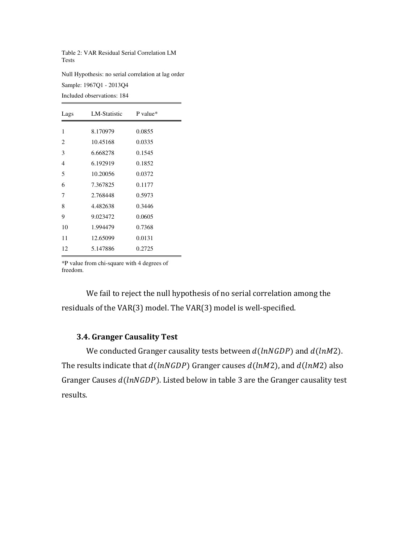Table 2: VAR Residual Serial Correlation LM Tests

Null Hypothesis: no serial correlation at lag order

Sample: 1967Q1 - 2013Q4

Included observations: 184

| Lags | LM-Statistic | P value* |
|------|--------------|----------|
| 1    | 8.170979     | 0.0855   |
| 2    | 10.45168     | 0.0335   |
| 3    | 6.668278     | 0.1545   |
| 4    | 6.192919     | 0.1852   |
| 5    | 10.20056     | 0.0372   |
| 6    | 7.367825     | 0.1177   |
| 7    | 2.768448     | 0.5973   |
| 8    | 4.482638     | 0.3446   |
| 9    | 9.023472     | 0.0605   |
| 10   | 1.994479     | 0.7368   |
| 11   | 12.65099     | 0.0131   |
| 12   | 5.147886     | 0.2725   |

\*P value from chi-square with 4 degrees of freedom.

We fail to reject the null hypothesis of no serial correlation among the residuals of the VAR(3) model. The VAR(3) model is well-specified.

## **3.4. Granger Causality Test**

We conducted Granger causality tests between  $d(lnNGDP)$  and  $d(lnM2)$ . The results indicate that  $d(lnNGDP)$  Granger causes  $d(lnM2)$ , and  $d(lnM2)$  also Granger Causes  $d(lnNGDP)$ . Listed below in table 3 are the Granger causality test results.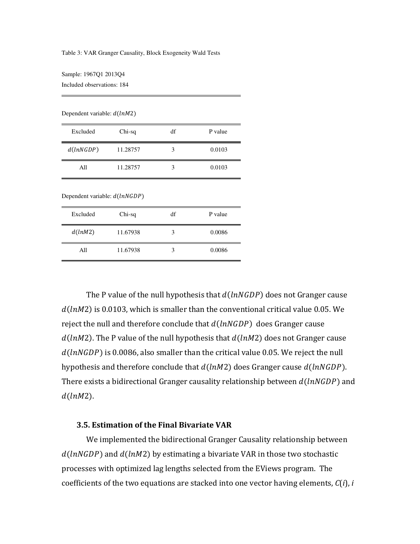Sample: 1967Q1 2013Q4

Included observations: 184

Dependent variable:  $d(lnM2)$ 

| Excluded  | Chi-sq   | df | P value |
|-----------|----------|----|---------|
| d(lnNGDP) | 11.28757 | 3  | 0.0103  |
| All       | 11.28757 | 3  | 0.0103  |

Dependent variable:  $d(lnNGDP)$ 

| Excluded | Chi-sq   | df | P value |
|----------|----------|----|---------|
| d(lnM2)  | 11.67938 | 3  | 0.0086  |
| All      | 11.67938 | 3  | 0.0086  |

The P value of the null hypothesis that  $d(lnNGDP)$  does not Granger cause  $d(lnM2)$  is 0.0103, which is smaller than the conventional critical value 0.05. We reject the null and therefore conclude that  $d(lnNGDP)$  does Granger cause  $d(lnM2)$ . The P value of the null hypothesis that  $d(lnM2)$  does not Granger cause  $d(lnNGDP)$  is 0.0086, also smaller than the critical value 0.05. We reject the null hypothesis and therefore conclude that  $d(lnM2)$  does Granger cause  $d(lnNGDP)$ . There exists a bidirectional Granger causality relationship between  $d(lnNGDP)$  and  $d(lnM2)$ .

## **3.5. Estimation of the Final Bivariate VAR**

We implemented the bidirectional Granger Causality relationship between  $d(lnNGDP)$  and  $d(lnM2)$  by estimating a bivariate VAR in those two stochastic processes with optimized lag lengths selected from the EViews program. The coefficients of the two equations are stacked into one vector having elements, *C*(*i*), *i*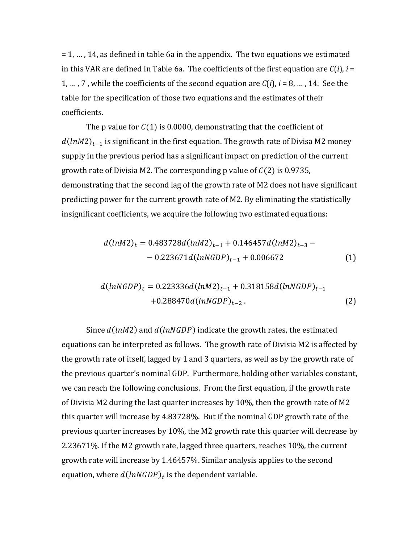= 1, … , 14, as defined in table 6a in the appendix. The two equations we estimated in this VAR are defined in Table 6a. The coefficients of the first equation are *C*(*i*), *i* = 1,  $\dots$ , 7, while the coefficients of the second equation are  $C(i)$ ,  $i = 8, \dots, 14$ . See the table for the specification of those two equations and the estimates of their coefficients.

The p value for  $C(1)$  is 0.0000, demonstrating that the coefficient of  $d(lnM2)_{t-1}$  is significant in the first equation. The growth rate of Divisa M2 money supply in the previous period has a significant impact on prediction of the current growth rate of Divisia M2. The corresponding p value of  $C(2)$  is 0.9735, demonstrating that the second lag of the growth rate of M2 does not have significant predicting power for the current growth rate of M2. By eliminating the statistically insignificant coefficients, we acquire the following two estimated equations:

$$
d(lnM2)_t = 0.483728d(lnM2)_{t-1} + 0.146457d(lnM2)_{t-3} - 0.223671d(lnMGP)_{t-1} + 0.006672
$$
\n(1)

$$
d(lnNGDP)_t = 0.223336d(lnM2)_{t-1} + 0.318158d(lnNGDP)_{t-1} + 0.288470d(lnNGDP)_{t-2}.
$$
\n(2)

Since  $d(lnM2)$  and  $d(lnNGDP)$  indicate the growth rates, the estimated equations can be interpreted as follows. The growth rate of Divisia M2 is affected by the growth rate of itself, lagged by 1 and 3 quarters, as well as by the growth rate of the previous quarter's nominal GDP. Furthermore, holding other variables constant, we can reach the following conclusions. From the first equation, if the growth rate of Divisia M2 during the last quarter increases by 10%, then the growth rate of M2 this quarter will increase by 4.83728%. But if the nominal GDP growth rate of the previous quarter increases by 10%, the M2 growth rate this quarter will decrease by 2.23671%. If the M2 growth rate, lagged three quarters, reaches 10%, the current growth rate will increase by 1.46457%. Similar analysis applies to the second equation, where  $d(lnNGDP)_t$  is the dependent variable.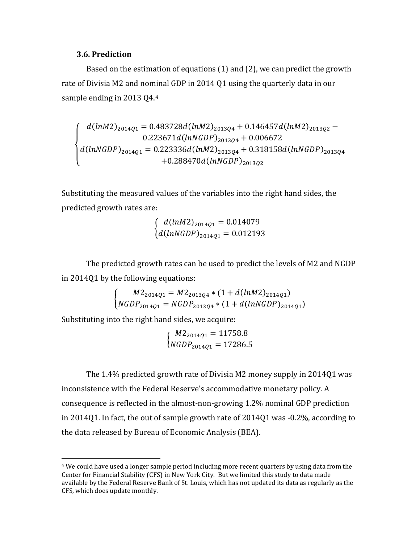## **3.6. Prediction**

Based on the estimation of equations (1) and (2), we can predict the growth rate of Divisia M2 and no[min](#page-14-0)al GDP in 2014 Q1 using the quarterly data in our sample ending in 2013 Q4.<sup>4</sup>

$$
\left\{\begin{array}{c} d(lnM2)_{2014Q1}=0.483728 d(lnM2)_{2013Q4}+0.146457 d(lnM2)_{2013Q2}- \\ 0.223671 d(lnNGDP)_{2013Q4}+0.006672 \end{array}\right.
$$
  
\n
$$
d(lnNGDP)_{2014Q1}=0.223336 d(lnM2)_{2013Q4}+0.318158 d(lnNGDP)_{2013Q4} +0.288470 d(lnNGDP)_{2013Q2}
$$

Substituting the measured values of the variables into the right hand sides, the predicted growth rates are:

$$
\begin{cases} d(lnM2)_{2014Q1} = 0.014079 \\ d(lnNGDP)_{2014Q1} = 0.012193 \end{cases}
$$

The predicted growth rates can be used to predict the levels of M2 and NGDP in 2014Q1 by the following equations:

$$
\begin{cases} M2_{2014Q1} = M2_{2013Q4} * (1 + d(lnM2)_{2014Q1}) \\ NGDP_{2014Q1} = NGDP_{2013Q4} * (1 + d(lnNGDP)_{2014Q1}) \end{cases}
$$

Substituting into the right hand sides, we acquire:

<u>.</u>

$$
\begin{cases} M2_{2014Q1} = 11758.8\\ NGDP_{2014Q1} = 17286.5 \end{cases}
$$

The 1.4% predicted growth rate of Divisia M2 money supply in 2014Q1 was inconsistence with the Federal Reserve's accommodative monetary policy. A consequence is reflected in the almost-non-growing 1.2% nominal GDP prediction in 2014Q1. In fact, the out of sample growth rate of 2014Q1 was -0.2%, according to the data released by Bureau of Economic Analysis (BEA).

<span id="page-14-0"></span><sup>4</sup> We could have used a longer sample period including more recent quarters by using data from the Center for Financial Stability (CFS) in New York City. But we limited this study to data made available by the Federal Reserve Bank of St. Louis, which has not updated its data as regularly as the CFS, which does update monthly.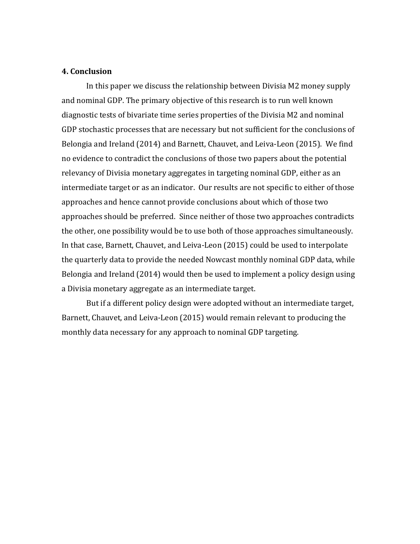## **4. Conclusion**

In this paper we discuss the relationship between Divisia M2 money supply and nominal GDP. The primary objective of this research is to run well known diagnostic tests of bivariate time series properties of the Divisia M2 and nominal GDP stochastic processes that are necessary but not sufficient for the conclusions of Belongia and Ireland (2014) and Barnett, Chauvet, and Leiva-Leon (2015). We find no evidence to contradict the conclusions of those two papers about the potential relevancy of Divisia monetary aggregates in targeting nominal GDP, either as an intermediate target or as an indicator. Our results are not specific to either of those approaches and hence cannot provide conclusions about which of those two approaches should be preferred. Since neither of those two approaches contradicts the other, one possibility would be to use both of those approaches simultaneously. In that case, Barnett, Chauvet, and Leiva-Leon (2015) could be used to interpolate the quarterly data to provide the needed Nowcast monthly nominal GDP data, while Belongia and Ireland (2014) would then be used to implement a policy design using a Divisia monetary aggregate as an intermediate target.

But if a different policy design were adopted without an intermediate target, Barnett, Chauvet, and Leiva-Leon (2015) would remain relevant to producing the monthly data necessary for any approach to nominal GDP targeting.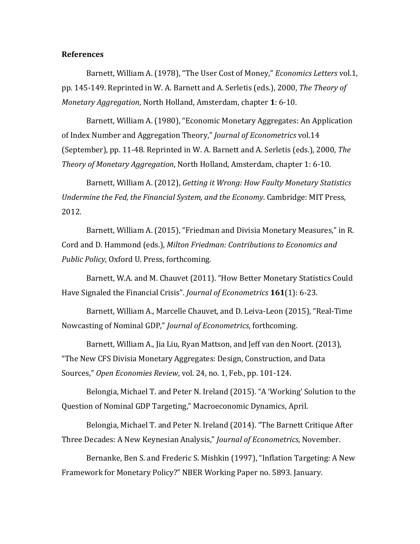#### **References**

Barnett, William A. (1978), "The User Cost of Money," *Economics Letters* vol.1, pp. 145-149. Reprinted in W. A. Barnett and A. Serletis (eds.), 2000, *The Theory of Monetary Aggregation*, North Holland, Amsterdam, chapter **1**: 6-10.

Barnett, William A. (1980), "Economic Monetary Aggregates: An Application of Index Number and Aggregation Theory," *Journal of Econometrics* vol.14 (September), pp. 11-48. Reprinted in W. A. Barnett and A. Serletis (eds.), 2000, *The Theory of Monetary Aggregation*, North Holland, Amsterdam, chapter 1: 6-10.

Barnett, William A. (2012), *Getting it Wrong: How Faulty Monetary Statistics Undermine the Fed, the Financial System, and the Economy*. Cambridge: MIT Press, 2012.

Barnett, William A. (2015), "Friedman and Divisia Monetary Measures," in R. Cord and D. Hammond (eds.), *Milton Friedman: Contributions to Economics and Public Policy*, Oxford U. Press, forthcoming.

Barnett, W.A. and M. Chauvet (2011). "How Better Monetary Statistics Could Have Signaled the Financial Crisis". *Journal of Econometrics* **161**(1): 6-23.

Barnett, William A., Marcelle Chauvet, and D. Leiva-Leon (2015), "Real-Time Nowcasting of Nominal GDP," *Journal of Econometrics*, forthcoming.

Barnett, William A., Jia Liu, Ryan Mattson, and Jeff van den Noort. (2013), "The New CFS Divisia Monetary Aggregates: Design, Construction, and Data Sources," *Open Economies Review*, vol. 24, no. 1, Feb., pp. 101-124.

Belongia, Michael T. and Peter N. Ireland (2015). "A 'Working' Solution to the Question of Nominal GDP Targeting," Macroeconomic Dynamics, April.

Belongia, Michael T. and Peter N. Ireland (2014). "The Barnett Critique After Three Decades: A New Keynesian Analysis," *Journal of Econometrics*, November.

Bernanke, Ben S. and Frederic S. Mishkin (1997), "Inflation Targeting: A New Framework for Monetary Policy?" NBER Working Paper no. 5893. January.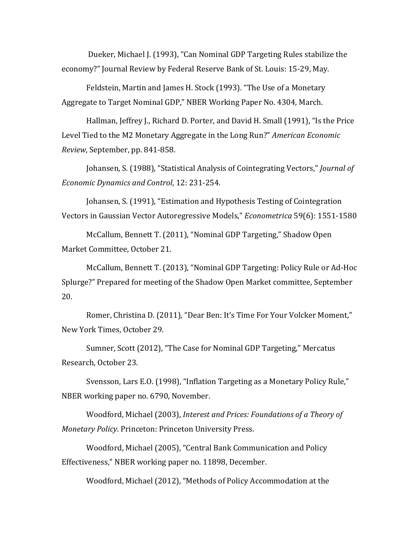Dueker, Michael J. (1993), "Can Nominal GDP Targeting Rules stabilize the economy?" Journal Review by Federal Reserve Bank of St. Louis: 15-29, May.

Feldstein, Martin and James H. Stock (1993). "The Use of a Monetary Aggregate to Target Nominal GDP," NBER Working Paper No. 4304, March.

Hallman, Jeffrey J., Richard D. Porter, and David H. Small (1991), "Is the Price Level Tied to the M2 Monetary Aggregate in the Long Run?" *American Economic Review*, September, pp. 841-858.

Johansen, S. (1988), "Statistical Analysis of Cointegrating Vectors," *Journal of Economic Dynamics and Control*, 12: 231-254.

Johansen, S. (1991), "Estimation and Hypothesis Testing of Cointegration Vectors in Gaussian Vector Autoregressive Models," *Econometrica* 59(6): 1551-1580

McCallum, Bennett T. (2011), "Nominal GDP Targeting," Shadow Open Market Committee, October 21.

McCallum, Bennett T. (2013), "Nominal GDP Targeting: Policy Rule or Ad-Hoc Splurge?" Prepared for meeting of the Shadow Open Market committee, September 20.

Romer, Christina D. (2011), "Dear Ben: It's Time For Your Volcker Moment," New York Times, October 29.

Sumner, Scott (2012), "The Case for Nominal GDP Targeting," Mercatus Research, October 23.

Svensson, Lars E.O. (1998), "Inflation Targeting as a Monetary Policy Rule," NBER working paper no. 6790, November.

Woodford, Michael (2003), *Interest and Prices: Foundations of a Theory of Monetary Policy*. Princeton: Princeton University Press.

Woodford, Michael (2005), "Central Bank Communication and Policy Effectiveness," NBER working paper no. 11898, December.

Woodford, Michael (2012), "Methods of Policy Accommodation at the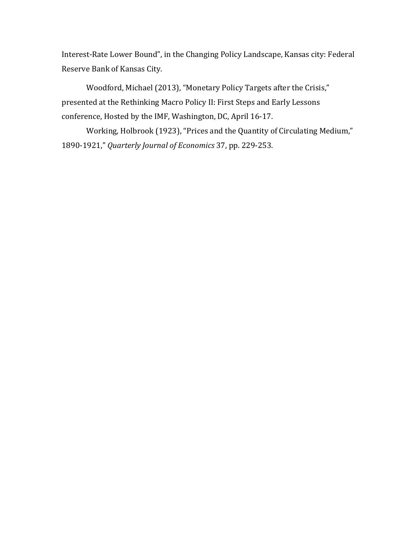Interest-Rate Lower Bound", in the Changing Policy Landscape, Kansas city: Federal Reserve Bank of Kansas City.

Woodford, Michael (2013), "Monetary Policy Targets after the Crisis," presented at the Rethinking Macro Policy II: First Steps and Early Lessons conference, Hosted by the IMF, Washington, DC, April 16-17.

Working, Holbrook (1923), "Prices and the Quantity of Circulating Medium," 1890-1921," *Quarterly Journal of Economics* 37, pp. 229-253.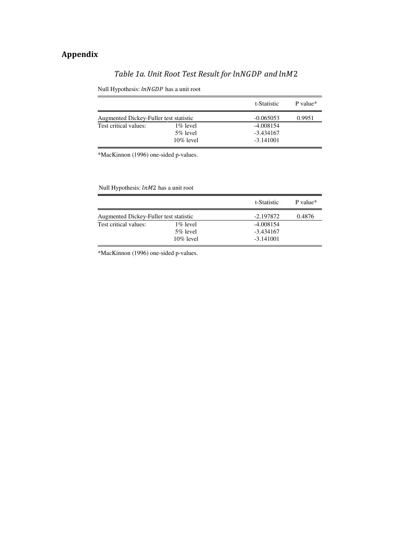# **Appendix**

## *Table 1a. Unit Root Test Result for lnNGDP and lnM2*

Null Hypothesis:  $lnNGDP$  has a unit root

|                                        |              | t-Statistic | P value* |
|----------------------------------------|--------------|-------------|----------|
| Augmented Dickey-Fuller test statistic |              | $-0.065053$ | 0.9951   |
| Test critical values:                  | $1\%$ level  | $-4.008154$ |          |
|                                        | $5\%$ level  | $-3.434167$ |          |
|                                        | $10\%$ level | $-3.141001$ |          |

\*MacKinnon (1996) one-sided p-values.

Null Hypothesis:  $lnM2$  has a unit root

|                                        |              | t-Statistic | P value* |
|----------------------------------------|--------------|-------------|----------|
| Augmented Dickey-Fuller test statistic |              | -2.197872   | 0.4876   |
| Test critical values:                  | $1\%$ level  | $-4.008154$ |          |
|                                        | $5\%$ level  | $-3.434167$ |          |
|                                        | $10\%$ level | $-3.141001$ |          |

\*MacKinnon (1996) one-sided p-values.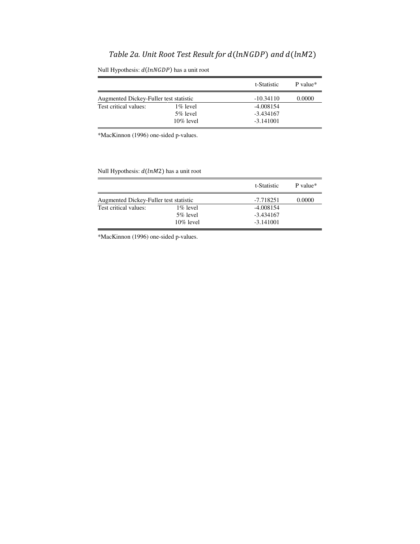# *Table 2a. Unit Root Test Result for d*(lnNGDP) and *d*(lnM2)

|                                        |                                         | t-Statistic                               | P value* |
|----------------------------------------|-----------------------------------------|-------------------------------------------|----------|
| Augmented Dickey-Fuller test statistic |                                         | $-10.34110$                               | 0.0000   |
| Test critical values:                  | $1\%$ level<br>5% level<br>$10\%$ level | $-4.008154$<br>$-3.434167$<br>$-3.141001$ |          |

Null Hypothesis:  $d(lnNGDP)$  has a unit root

\*MacKinnon (1996) one-sided p-values.

Null Hypothesis:  $d(lnM2)$  has a unit root

|                                        |              | t-Statistic | P value* |
|----------------------------------------|--------------|-------------|----------|
| Augmented Dickey-Fuller test statistic |              | -7.718251   | 0.0000   |
| Test critical values:                  | $1\%$ level  | $-4.008154$ |          |
|                                        | $5\%$ level  | $-3.434167$ |          |
|                                        | $10\%$ level | $-3.141001$ |          |

\*MacKinnon (1996) one-sided p-values.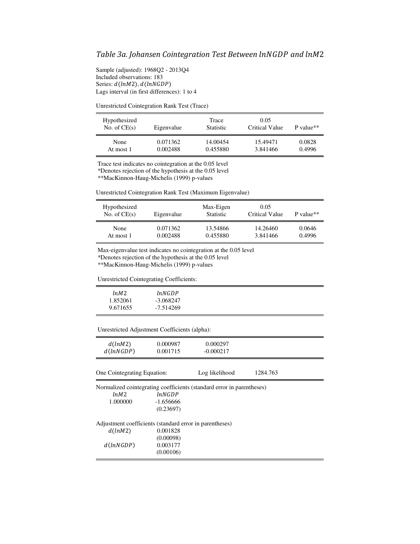Sample (adjusted): 1968Q2 - 2013Q4 Included observations: 183 Series:  $d(lnM2)$ ,  $d(lnNGDP)$ Lags interval (in first differences): 1 to 4

Unrestricted Cointegration Rank Test (Trace)

| Hypothesized<br>No. of $CE(s)$ | Eigenvalue | Trace<br><b>Statistic</b> | 0.05<br>Critical Value | $P$ value** |
|--------------------------------|------------|---------------------------|------------------------|-------------|
| None                           | 0.071362   | 14.00454                  | 15.49471               | 0.0828      |
| At most 1                      | 0.002488   | 0.455880                  | 3.841466               | 0.4996      |

Trace test indicates no cointegration at the 0.05 level

\*Denotes rejection of the hypothesis at the 0.05 level

\*\*MacKinnon-Haug-Michelis (1999) p-values

Unrestricted Cointegration Rank Test (Maximum Eigenvalue)

| Hypothesized<br>No. of $CE(s)$ | Eigenvalue | Max-Eigen<br><b>Statistic</b> | 0.05<br>Critical Value | $P$ value** |
|--------------------------------|------------|-------------------------------|------------------------|-------------|
| None                           | 0.071362   | 13.54866                      | 14.26460               | 0.0646      |
| At most 1                      | 0.002488   | 0.455880                      | 3.841466               | 0.4996      |

Max-eigenvalue test indicates no cointegration at the 0.05 level

\*Denotes rejection of the hypothesis at the 0.05 level

\*\*MacKinnon-Haug-Michelis (1999) p-values

Unrestricted Cointegrating Coefficients:

Unrestricted Adjustment Coefficients (alpha):

| d(lnM2)<br>d(lnNGDP)                                               | 0.000987<br>0.001715               | 0.000297<br>$-0.000217$                                               |          |  |
|--------------------------------------------------------------------|------------------------------------|-----------------------------------------------------------------------|----------|--|
| One Cointegrating Equation:                                        |                                    | Log likelihood                                                        | 1284.763 |  |
| lnM2<br>1.000000                                                   | lnNGDP<br>$-1.656666$<br>(0.23697) | Normalized cointegrating coefficients (standard error in parentheses) |          |  |
| Adjustment coefficients (standard error in parentheses)<br>d(lnM2) | 0.001828                           |                                                                       |          |  |
| d(lnNGDP)                                                          | (0.00098)<br>0.003177<br>(0.00106) |                                                                       |          |  |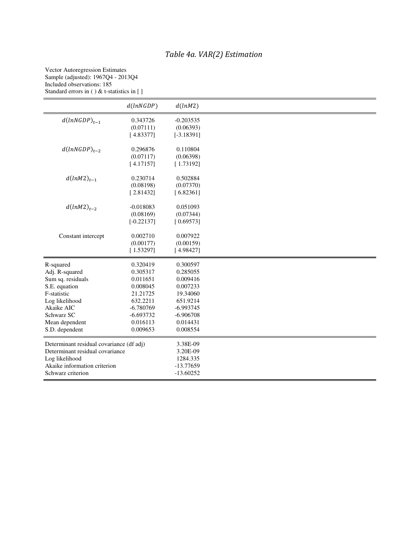# *Table 4a. VAR(2) Estimation*

| Vector Autoregression Estimates                               |
|---------------------------------------------------------------|
| Sample (adjusted): 1967Q4 - 2013Q4                            |
| Included observations: 185                                    |
| Standard errors in () & t-statistics in $\lceil \cdot \rceil$ |

|                                          | d(lnNGDP)    | d(lnM2)      |  |
|------------------------------------------|--------------|--------------|--|
| $d(lnNGDP)_{t-1}$                        | 0.343726     | $-0.203535$  |  |
|                                          | (0.07111)    | (0.06393)    |  |
|                                          | [4.83377]    | $[-3.18391]$ |  |
| $d(lnNGDP)_{t-2}$                        | 0.296876     | 0.110804     |  |
|                                          | (0.07117)    | (0.06398)    |  |
|                                          | [4.17157]    | [1.73192]    |  |
| $d(lnM2)_{t-1}$                          | 0.230714     | 0.502884     |  |
|                                          | (0.08198)    | (0.07370)    |  |
|                                          | [2.81432]    | [6.82361]    |  |
|                                          |              |              |  |
| $d(lnM2)_{t=2}$                          | $-0.018083$  | 0.051093     |  |
|                                          | (0.08169)    | (0.07344)    |  |
|                                          | $[-0.22137]$ | [0.69573]    |  |
| Constant intercept                       | 0.002710     | 0.007922     |  |
|                                          | (0.00177)    | (0.00159)    |  |
|                                          | [1.53297]    | [4.98427]    |  |
| R-squared                                | 0.320419     | 0.300597     |  |
| Adj. R-squared                           | 0.305317     | 0.285055     |  |
| Sum sq. residuals                        | 0.011651     | 0.009416     |  |
| S.E. equation                            | 0.008045     | 0.007233     |  |
| F-statistic                              | 21.21725     | 19.34060     |  |
| Log likelihood                           | 632.2211     | 651.9214     |  |
| Akaike AIC                               | $-6.780769$  | $-6.993745$  |  |
| Schwarz SC                               | $-6.693732$  | $-6.906708$  |  |
| Mean dependent                           | 0.016113     | 0.014431     |  |
| S.D. dependent                           | 0.009653     | 0.008554     |  |
| Determinant residual covariance (df adj) |              | 3.38E-09     |  |
| Determinant residual covariance          |              | 3.20E-09     |  |
| Log likelihood                           |              | 1284.335     |  |
| Akaike information criterion             |              | -13.77659    |  |
| Schwarz criterion                        |              | $-13.60252$  |  |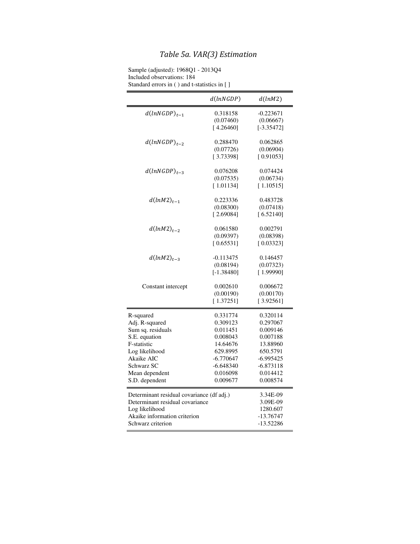# *Table 5a. VAR(3) Estimation*

| Sample (adjusted): 1968Q1 - 2013Q4           |
|----------------------------------------------|
| Included observations: 184                   |
| Standard errors in () and t-statistics in [] |

|                                           | d(lnNGDP)            | d(lnM2)              |
|-------------------------------------------|----------------------|----------------------|
| $d(lnNGDP)_{t-1}$                         | 0.318158             | $-0.223671$          |
|                                           | (0.07460)            | (0.06667)            |
|                                           | [4.26460]            | $[-3.35472]$         |
| $d(lnNGDP)_{t-2}$                         | 0.288470             | 0.062865             |
|                                           | (0.07726)            | (0.06904)            |
|                                           | [ 3.73398]           | [0.91053]            |
| $d(lnNGDP)_{t-3}$                         | 0.076208             | 0.074424             |
|                                           | (0.07535)            | (0.06734)            |
|                                           | [1.01134]            | [1.10515]            |
| $d(lnM2)_{t-1}$                           | 0.223336             | 0.483728             |
|                                           | (0.08300)            | (0.07418)            |
|                                           | [2.69084]            | [6.52140]            |
| $d(lnM2)_{t-2}$                           | 0.061580             | 0.002791             |
|                                           | (0.09397)            | (0.08398)            |
|                                           | [0.65531]            | [0.03323]            |
| $d(lnM2)_{t=3}$                           | $-0.113475$          | 0.146457             |
|                                           | (0.08194)            | (0.07323)            |
|                                           | $[-1.38480]$         | [1.99990]            |
| Constant intercept                        | 0.002610             | 0.006672             |
|                                           | (0.00190)            | (0.00170)            |
|                                           | [1.37251]            | [3.92561]            |
| R-squared                                 | 0.331774             | 0.320114             |
| Adj. R-squared                            | 0.309123             | 0.297067             |
| Sum sq. residuals                         | 0.011451             | 0.009146             |
| S.E. equation<br>F-statistic              | 0.008043<br>14.64676 | 0.007188<br>13.88960 |
| Log likelihood                            | 629.8995             | 650.5791             |
| Akaike AIC                                | $-6.770647$          | $-6.995425$          |
| Schwarz SC                                | $-6.648340$          | $-6.873118$          |
| Mean dependent                            | 0.016098             | 0.014412             |
| S.D. dependent                            | 0.009677             | 0.008574             |
| Determinant residual covariance (df adj.) |                      | 3.34E-09             |
| Determinant residual covariance           |                      | 3.09E-09             |
| Log likelihood                            |                      | 1280.607             |
| Akaike information criterion              |                      | -13.76747            |
| Schwarz criterion                         |                      | -13.52286            |